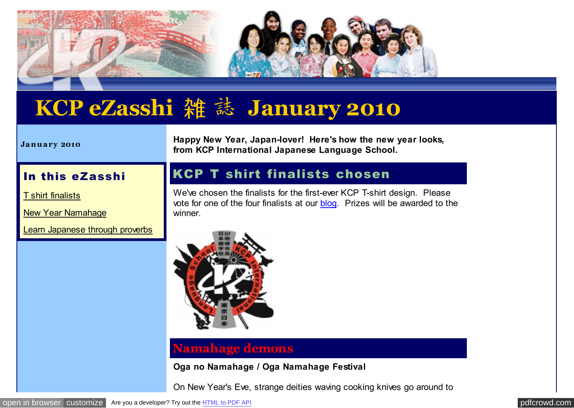

# **KCP eZasshi** 雑 誌 **January 2010**

**Ja n u a ry 2010**

**Happy New Year, Japan-lover! Here's how the new year looks, from KCP International Japanese Language School.**

## In this eZasshi

[T shirt finalists](http://pdfcrowd.com/redirect/?url=http%3a%2f%2farchive.constantcontact.com%2ffs061%2f1102771164575%2farchive%2f1102860059195.html%23LETTER.BLOCK6&id=in-110620234437-402cd8f8)

[New Year Namahage](http://pdfcrowd.com/redirect/?url=http%3a%2f%2farchive.constantcontact.com%2ffs061%2f1102771164575%2farchive%2f1102860059195.html%23LETTER.BLOCK7&id=in-110620234437-402cd8f8)

[Learn Japanese through proverbs](http://pdfcrowd.com/redirect/?url=http%3a%2f%2farchive.constantcontact.com%2ffs061%2f1102771164575%2farchive%2f1102860059195.html%23LETTER.BLOCK11&id=in-110620234437-402cd8f8)

# KCP T shirt finalists chosen

We've chosen the finalists for the first-ever KCP T-shirt design. Please vote for one of the four finalists at our [blog.](http://pdfcrowd.com/redirect/?url=http%3a%2f%2fkcpinternational.net%2f&id=in-110620234437-402cd8f8) Prizes will be awarded to the winner.



## **Namahage demons**

**Oga no Namahage / Oga Namahage Festival**

On New Year's Eve, strange deities waving cooking knives go around to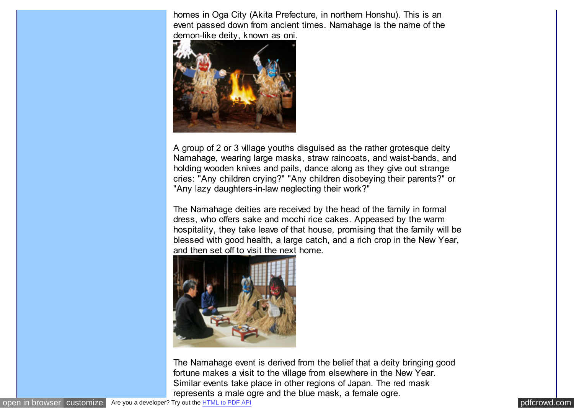homes in Oga City (Akita Prefecture, in northern Honshu). This is an event passed down from ancient times. Namahage is the name of the demon-like deity, known as oni.



A group of 2 or 3 village youths disguised as the rather grotesque deity Namahage, wearing large masks, straw raincoats, and waist-bands, and holding wooden knives and pails, dance along as they give out strange cries: "Any children crying?" "Any children disobeying their parents?" or "Any lazy daughters-in-law neglecting their work?"

The Namahage deities are received by the head of the family in formal dress, who offers sake and mochi rice cakes. Appeased by the warm hospitality, they take leave of that house, promising that the family will be blessed with good health, a large catch, and a rich crop in the New Year, and then set off to visit the next home.



The Namahage event is derived from the belief that a deity bringing good fortune makes a visit to the village from elsewhere in the New Year. Similar events take place in other regions of Japan. The red mask represents a male ogre and the blue mask, a female ogre.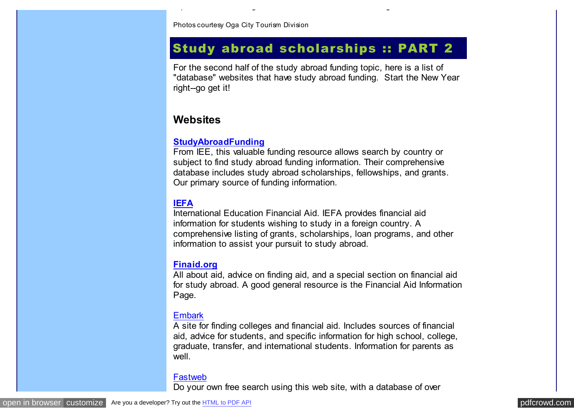Photos courtesy Oga City Tourism Division

# Study abroad scholarships :: PART 2

represents a male ogre and the blue mask, a female ogre.

For the second half of the study abroad funding topic, here is a list of "database" websites that have study abroad funding. Start the New Year right--go get it!

## **Websites**

#### **[StudyAbroadFunding](http://pdfcrowd.com/redirect/?url=http%3a%2f%2fwww.studyabroadfunding.org%2f&id=in-110620234437-402cd8f8)**

From IEE, this valuable funding resource allows search by country or subject to find study abroad funding information. Their comprehensive database includes study abroad scholarships, fellowships, and grants. Our primary source of funding information.

#### **[IEFA](http://pdfcrowd.com/redirect/?url=http%3a%2f%2fwww.iefa.org%2f&id=in-110620234437-402cd8f8)**

International Education Financial Aid. IEFA provides financial aid information for students wishing to study in a foreign country. A comprehensive listing of grants, scholarships, loan programs, and other information to assist your pursuit to study abroad.

#### **[Finaid.org](http://pdfcrowd.com/redirect/?url=http%3a%2f%2fwww.finaid.org%2f&id=in-110620234437-402cd8f8)**

All about aid, advice on finding aid, and a special section on financial aid for study abroad. A good general resource is the Financial Aid Information Page.

#### **[Embark](http://pdfcrowd.com/redirect/?url=http%3a%2f%2fwww.embark.com%2f&id=in-110620234437-402cd8f8)**

A site for finding colleges and financial aid. Includes sources of financial aid, advice for students, and specific information for high school, college, graduate, transfer, and international students. Information for parents as well.

#### [Fastweb](http://pdfcrowd.com/redirect/?url=http%3a%2f%2fwww.fastweb.com%2f&id=in-110620234437-402cd8f8)

Do your own free search using this web site, with a database of over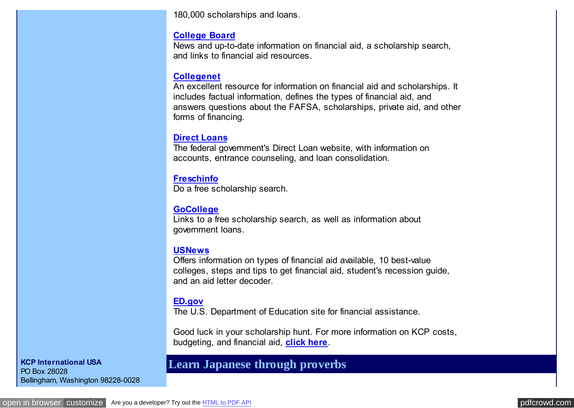180,000 scholarships and loans.

#### **[College Board](http://pdfcrowd.com/redirect/?url=http%3a%2f%2fwww.collegeboard.org%2f&id=in-110620234437-402cd8f8)**

News and up-to-date information on financial aid, a scholarship search, and links to financial aid resources.

#### **[Collegenet](http://pdfcrowd.com/redirect/?url=http%3a%2f%2fwww.collegenet.com%2f&id=in-110620234437-402cd8f8)**

An excellent resource for information on financial aid and scholarships. It includes factual information, defines the types of financial aid, and answers questions about the FAFSA, scholarships, private aid, and other forms of financing.

#### **[Direct Loans](http://pdfcrowd.com/redirect/?url=http%3a%2f%2fwww.ed.gov%2foffices%2fOSFAP%2fDirectLoan%2fstudent.html&id=in-110620234437-402cd8f8)**

The federal government's Direct Loan website, with information on accounts, entrance counseling, and loan consolidation.

## **[Freschinfo](http://pdfcrowd.com/redirect/?url=http%3a%2f%2fwww.freschinfo.com%2f&id=in-110620234437-402cd8f8)**

Do a free scholarship search.

## **[GoCollege](http://pdfcrowd.com/redirect/?url=http%3a%2f%2fwww.gocollege.com%2f&id=in-110620234437-402cd8f8)**

Links to a free scholarship search, as well as information about government loans.

#### **[USNews](http://pdfcrowd.com/redirect/?url=http%3a%2f%2fwww.usnews.com%2fsections%2feducation%2fpaying-for-college%2findex.html&id=in-110620234437-402cd8f8)**

Offers information on types of financial aid available, 10 best-value colleges, steps and tips to get financial aid, student's recession guide, and an aid letter decoder.

#### **[ED.gov](http://pdfcrowd.com/redirect/?url=http%3a%2f%2fwww.ed.gov%2ffinaid%2flanding.jhtml&id=in-110620234437-402cd8f8)**

The U.S. Department of Education site for financial assistance.

Good luck in your scholarship hunt. For more information on KCP costs, budgeting, and financial aid, **[click here](http://pdfcrowd.com/redirect/?url=http%3a%2f%2fwww.kcpinternational.com%2ffinances%2fcosts.html&id=in-110620234437-402cd8f8)**.

**KCP International USA** PO Box 28028 Bellingham, Washington 98228-0028

# **Learn Japanese through proverbs**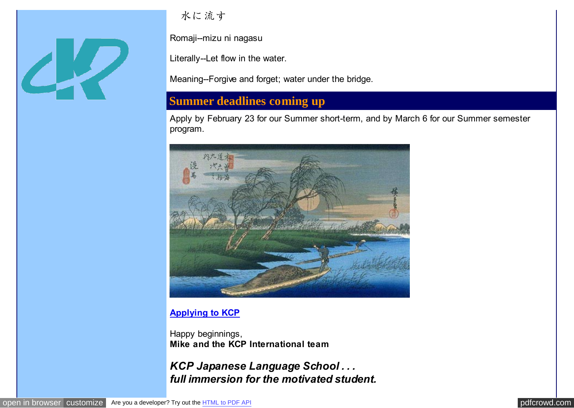

水に流す

Romaji--mizu ni nagasu

Literally--Let flow in the water.

Meaning--Forgive and forget; water under the bridge.

# **Summer deadlines coming up**

Apply by February 23 for our Summer short-term, and by March 6 for our Summer semester program.



## **[Applying to KCP](http://pdfcrowd.com/redirect/?url=http%3a%2f%2fwww.kcpinternational.com%2fapplying%2fapplication_pdf.html&id=in-110620234437-402cd8f8)**

Happy beginnings, **Mike and the KCP International team**

*KCP Japanese Language School . . . full immersion for the motivated student.*